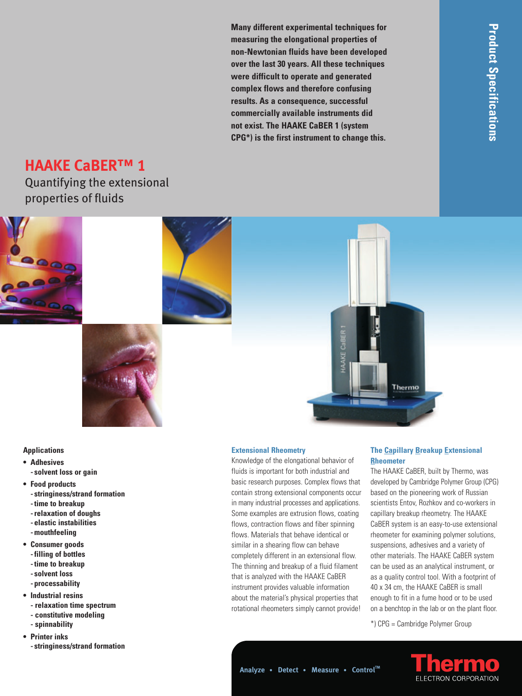**Many different experimental techniques for measuring the elongational properties of non-Newtonian fluids have been de vel oped over the last 30 years. All these techniques were difficult to operate and generated complex flows and therefore confusing results. As a consequence, successful commercially available instruments did not exist. The HAAKE CaBER 1 (system CPG\*) is the first instrument to change this.**

# **HAAKE CaBER™ 1**

Quantifying the extensional properties of fluids









## **Applications**

- **Adhesives - solvent loss or gain**
- **Food products**
	- **stringiness/strand formation**
	- **time to breakup**
	- **relaxation of doughs**
	- **elastic instabilities**
	- **mouthfeeling**
- **Consumer goods**
	- **filling of bottles**
	- **time to breakup**
	- **solvent loss**
	- **processability**
- **Industrial resins**
- **relaxation time spectrum - constitutive modeling**
- **spinnability**
- **Printer inks - stringiness/strand formation**

## **Analyze • Detect • Measure • Control™**

**Extensional Rheometry**

Knowledge of the elongational behavior of fluids is important for both industrial and basic research purposes. Complex flows that contain strong extensional components occur in many industrial processes and applications. Some examples are extrusion flows, coating flows, contraction flows and fiber spinning flows. Materials that behave identical or similar in a shearing flow can behave completely different in an extensional flow. The thinning and breakup of a fluid filament that is analyzed with the HAAKE CaBER instrument provides valuable information about the material's physical properties that rotational rheometers simply cannot provide!

# **The Capillary Breakup Extensional Rheometer**

The HAAKE CaBER, built by Thermo, was developed by Cambridge Polymer Group (CPG) based on the pioneering work of Russian scientists Entov, Rozhkov and co-workers in capillary breakup rheometry. The HAAKE CaBER system is an easy-to-use extensional rheometer for examining polymer solutions, suspensions, adhesives and a variety of other materials. The HAAKE CaBER system can be used as an analytical instrument, or as a quality control tool. With a footprint of 40 x 34 cm, the HAAKE CaBER is small enough to fit in a fume hood or to be used on a benchtop in the lab or on the plant floor.

\*) CPG = Cambridge Polymer Group